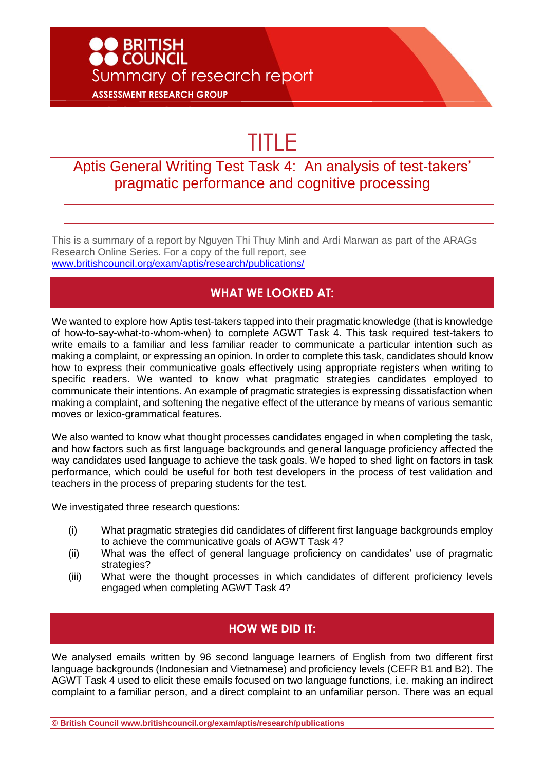# **DO BRITISH<br>DO COUNCIL** Summary of research report **ASSESSMENT RESEARCH GROUP**

# TITLE

### Aptis General Writing Test Task 4: An analysis of test-takers' pragmatic performance and cognitive processing

This is a summary of a report by Nguyen Thi Thuy Minh and Ardi Marwan as part of the ARAGs Research Online Series. For a copy of the full report, see [www.britishcouncil.org/exam/aptis/research/publications/](http://www.britishcouncil.org/exam/aptis/research/publications/)

#### **WHAT WE LOOKED AT:**

We wanted to explore how Aptis test-takers tapped into their pragmatic knowledge (that is knowledge of how-to-say-what-to-whom-when) to complete AGWT Task 4. This task required test-takers to write emails to a familiar and less familiar reader to communicate a particular intention such as making a complaint, or expressing an opinion. In order to complete this task, candidates should know how to express their communicative goals effectively using appropriate registers when writing to specific readers. We wanted to know what pragmatic strategies candidates employed to communicate their intentions. An example of pragmatic strategies is expressing dissatisfaction when making a complaint, and softening the negative effect of the utterance by means of various semantic moves or lexico-grammatical features.

We also wanted to know what thought processes candidates engaged in when completing the task, and how factors such as first language backgrounds and general language proficiency affected the way candidates used language to achieve the task goals. We hoped to shed light on factors in task performance, which could be useful for both test developers in the process of test validation and teachers in the process of preparing students for the test.

We investigated three research questions:

- (i) What pragmatic strategies did candidates of different first language backgrounds employ to achieve the communicative goals of AGWT Task 4?
- (ii) What was the effect of general language proficiency on candidates' use of pragmatic strategies?
- (iii) What were the thought processes in which candidates of different proficiency levels engaged when completing AGWT Task 4?

#### **HOW WE DID IT:**

We analysed emails written by 96 second language learners of English from two different first language backgrounds (Indonesian and Vietnamese) and proficiency levels (CEFR B1 and B2). The AGWT Task 4 used to elicit these emails focused on two language functions, i.e. making an indirect complaint to a familiar person, and a direct complaint to an unfamiliar person. There was an equal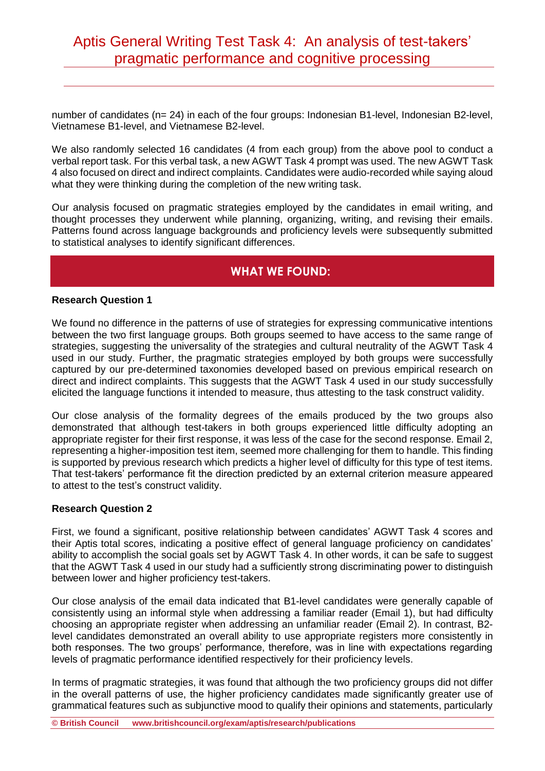# Aptis General Writing Test Task 4: An analysis of test-takers' pragmatic performance and cognitive processing

number of candidates (n= 24) in each of the four groups: Indonesian B1-level, Indonesian B2-level, Vietnamese B1-level, and Vietnamese B2-level.

We also randomly selected 16 candidates (4 from each group) from the above pool to conduct a verbal report task. For this verbal task, a new AGWT Task 4 prompt was used. The new AGWT Task 4 also focused on direct and indirect complaints. Candidates were audio-recorded while saying aloud what they were thinking during the completion of the new writing task.

Our analysis focused on pragmatic strategies employed by the candidates in email writing, and thought processes they underwent while planning, organizing, writing, and revising their emails. Patterns found across language backgrounds and proficiency levels were subsequently submitted to statistical analyses to identify significant differences.

#### **WHAT WE FOUND:**

#### **Research Question 1**

We found no difference in the patterns of use of strategies for expressing communicative intentions between the two first language groups. Both groups seemed to have access to the same range of strategies, suggesting the universality of the strategies and cultural neutrality of the AGWT Task 4 used in our study. Further, the pragmatic strategies employed by both groups were successfully captured by our pre-determined taxonomies developed based on previous empirical research on direct and indirect complaints. This suggests that the AGWT Task 4 used in our study successfully elicited the language functions it intended to measure, thus attesting to the task construct validity.

Our close analysis of the formality degrees of the emails produced by the two groups also demonstrated that although test-takers in both groups experienced little difficulty adopting an appropriate register for their first response, it was less of the case for the second response. Email 2, representing a higher-imposition test item, seemed more challenging for them to handle. This finding is supported by previous research which predicts a higher level of difficulty for this type of test items. That test-takers' performance fit the direction predicted by an external criterion measure appeared to attest to the test's construct validity.

#### **Research Question 2**

First, we found a significant, positive relationship between candidates' AGWT Task 4 scores and their Aptis total scores, indicating a positive effect of general language proficiency on candidates' ability to accomplish the social goals set by AGWT Task 4. In other words, it can be safe to suggest that the AGWT Task 4 used in our study had a sufficiently strong discriminating power to distinguish between lower and higher proficiency test-takers.

Our close analysis of the email data indicated that B1-level candidates were generally capable of consistently using an informal style when addressing a familiar reader (Email 1), but had difficulty choosing an appropriate register when addressing an unfamiliar reader (Email 2). In contrast, B2 level candidates demonstrated an overall ability to use appropriate registers more consistently in both responses. The two groups' performance, therefore, was in line with expectations regarding levels of pragmatic performance identified respectively for their proficiency levels.

In terms of pragmatic strategies, it was found that although the two proficiency groups did not differ in the overall patterns of use, the higher proficiency candidates made significantly greater use of grammatical features such as subjunctive mood to qualify their opinions and statements, particularly